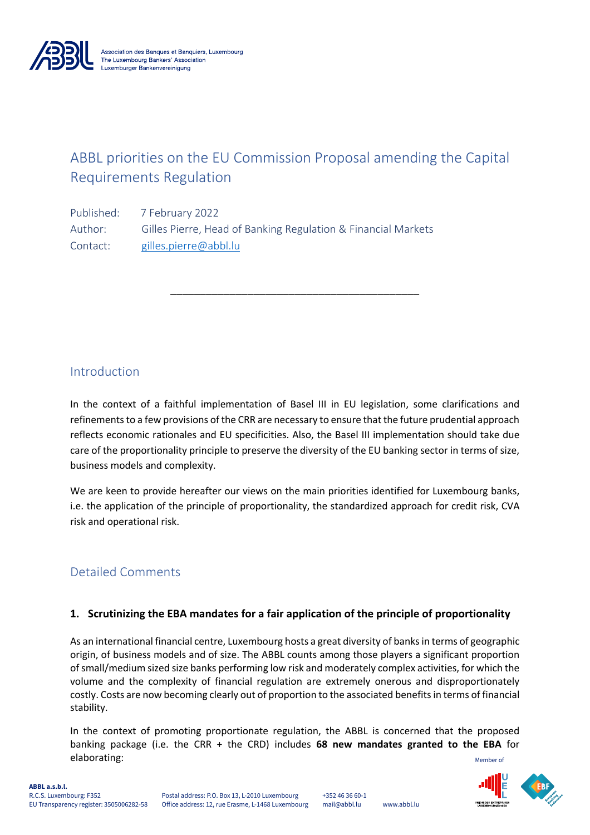

# ABBL priorities on the EU Commission Proposal amending the Capital Requirements Regulation

\_\_\_\_\_\_\_\_\_\_\_\_\_\_\_\_\_\_\_\_\_\_\_\_\_\_\_\_\_\_\_\_\_\_\_\_\_\_\_\_\_\_

Published: 7 February 2022 Author: Gilles Pierre, Head of Banking Regulation & Financial Markets Contact: gilles.pierre@abbl.lu

# Introduction

In the context of a faithful implementation of Basel III in EU legislation, some clarifications and refinements to a few provisions of the CRR are necessary to ensure that the future prudential approach reflects economic rationales and EU specificities. Also, the Basel III implementation should take due care of the proportionality principle to preserve the diversity of the EU banking sector in terms of size, business models and complexity.

We are keen to provide hereafter our views on the main priorities identified for Luxembourg banks, i.e. the application of the principle of proportionality, the standardized approach for credit risk, CVA risk and operational risk.

# Detailed Comments

# **1. Scrutinizing the EBA mandates for a fair application of the principle of proportionality**

As an international financial centre, Luxembourg hosts a great diversity of banks in terms of geographic origin, of business models and of size. The ABBL counts among those players a significant proportion of small/medium sized size banks performing low risk and moderately complex activities, for which the volume and the complexity of financial regulation are extremely onerous and disproportionately costly. Costs are now becoming clearly out of proportion to the associated benefits in terms of financial stability.

Member of In the context of promoting proportionate regulation, the ABBL is concerned that the proposed banking package (i.e. the CRR + the CRD) includes **68 new mandates granted to the EBA** for elaborating:

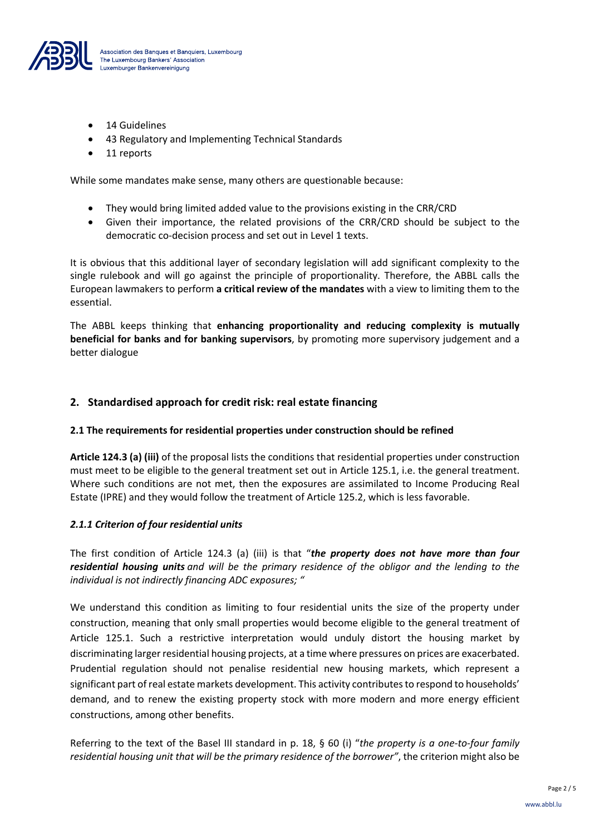

- 14 Guidelines
- 43 Regulatory and Implementing Technical Standards
- 11 reports

While some mandates make sense, many others are questionable because:

- They would bring limited added value to the provisions existing in the CRR/CRD
- Given their importance, the related provisions of the CRR/CRD should be subject to the democratic co-decision process and set out in Level 1 texts.

It is obvious that this additional layer of secondary legislation will add significant complexity to the single rulebook and will go against the principle of proportionality. Therefore, the ABBL calls the European lawmakers to perform **a critical review of the mandates** with a view to limiting them to the essential.

The ABBL keeps thinking that **enhancing proportionality and reducing complexity is mutually beneficial for banks and for banking supervisors**, by promoting more supervisory judgement and a better dialogue

## **2. Standardised approach for credit risk: real estate financing**

#### **2.1 The requirements for residential properties under construction should be refined**

**Article 124.3 (a) (iii)** of the proposal lists the conditions that residential properties under construction must meet to be eligible to the general treatment set out in Article 125.1, i.e. the general treatment. Where such conditions are not met, then the exposures are assimilated to Income Producing Real Estate (IPRE) and they would follow the treatment of Article 125.2, which is less favorable.

#### *2.1.1 Criterion of four residential units*

The first condition of Article 124.3 (a) (iii) is that "*the property does not have more than four residential housing units and will be the primary residence of the obligor and the lending to the individual is not indirectly financing ADC exposures; "*

We understand this condition as limiting to four residential units the size of the property under construction, meaning that only small properties would become eligible to the general treatment of Article 125.1. Such a restrictive interpretation would unduly distort the housing market by discriminating larger residential housing projects, at a time where pressures on prices are exacerbated. Prudential regulation should not penalise residential new housing markets, which represent a significant part of real estate markets development. This activity contributes to respond to households' demand, and to renew the existing property stock with more modern and more energy efficient constructions, among other benefits.

Referring to the text of the Basel III standard in p. 18, § 60 (i) "*the property is a one-to-four family residential housing unit that will be the primary residence of the borrower"*, the criterion might also be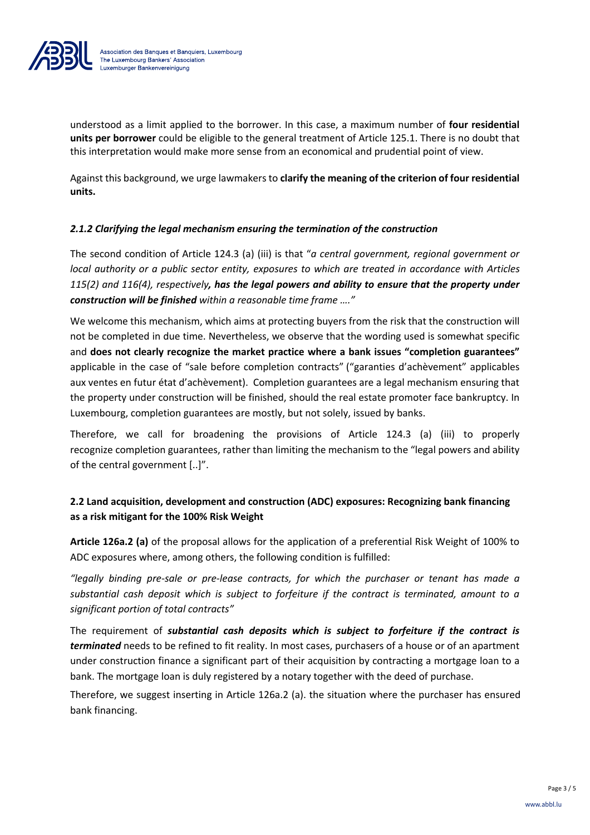

understood as a limit applied to the borrower. In this case, a maximum number of **four residential units per borrower** could be eligible to the general treatment of Article 125.1. There is no doubt that this interpretation would make more sense from an economical and prudential point of view.

Against this background, we urge lawmakers to **clarify the meaning of the criterion of four residential units.**

#### *2.1.2 Clarifying the legal mechanism ensuring the termination of the construction*

The second condition of Article 124.3 (a) (iii) is that "*a central government, regional government or local authority or a public sector entity, exposures to which are treated in accordance with Articles 115(2) and 116(4), respectively, has the legal powers and ability to ensure that the property under construction will be finished within a reasonable time frame …."*

We welcome this mechanism, which aims at protecting buyers from the risk that the construction will not be completed in due time. Nevertheless, we observe that the wording used is somewhat specific and **does not clearly recognize the market practice where a bank issues "completion guarantees"** applicable in the case of "sale before completion contracts" ("garanties d'achèvement" applicables aux ventes en futur état d'achèvement). Completion guarantees are a legal mechanism ensuring that the property under construction will be finished, should the real estate promoter face bankruptcy. In Luxembourg, completion guarantees are mostly, but not solely, issued by banks.

Therefore, we call for broadening the provisions of Article 124.3 (a) (iii) to properly recognize completion guarantees, rather than limiting the mechanism to the "legal powers and ability of the central government [..]".

# **2.2 Land acquisition, development and construction (ADC) exposures: Recognizing bank financing as a risk mitigant for the 100% Risk Weight**

**Article 126a.2 (a)** of the proposal allows for the application of a preferential Risk Weight of 100% to ADC exposures where, among others, the following condition is fulfilled:

*"legally binding pre-sale or pre-lease contracts, for which the purchaser or tenant has made a substantial cash deposit which is subject to forfeiture if the contract is terminated, amount to a significant portion of total contracts"*

The requirement of *substantial cash deposits which is subject to forfeiture if the contract is terminated* needs to be refined to fit reality. In most cases, purchasers of a house or of an apartment under construction finance a significant part of their acquisition by contracting a mortgage loan to a bank. The mortgage loan is duly registered by a notary together with the deed of purchase.

Therefore, we suggest inserting in Article 126a.2 (a). the situation where the purchaser has ensured bank financing.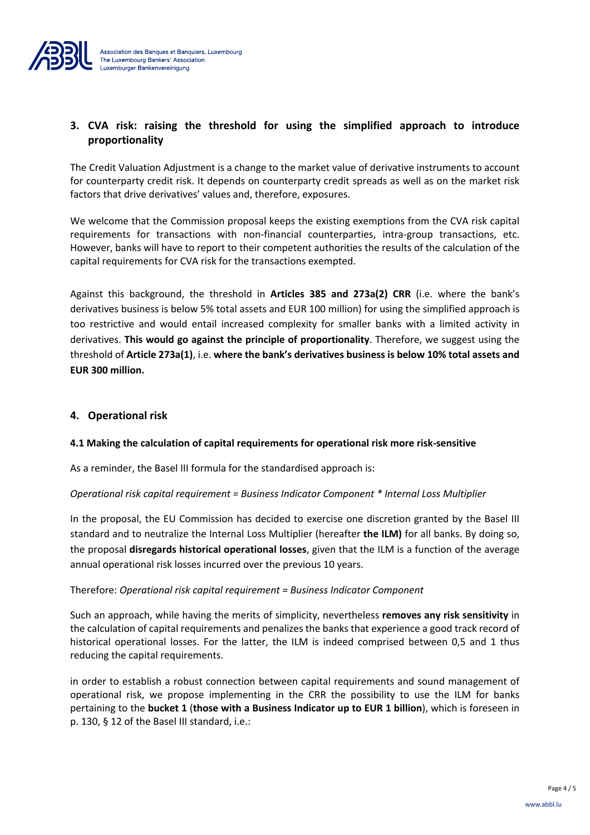

# **3. CVA risk: raising the threshold for using the simplified approach to introduce proportionality**

The Credit Valuation Adjustment is a change to the market value of derivative instruments to account for counterparty credit risk. It depends on counterparty credit spreads as well as on the market risk factors that drive derivatives' values and, therefore, exposures.

We welcome that the Commission proposal keeps the existing exemptions from the CVA risk capital requirements for transactions with non-financial counterparties, intra-group transactions, etc. However, banks will have to report to their competent authorities the results of the calculation of the capital requirements for CVA risk for the transactions exempted.

Against this background, the threshold in **Articles 385 and 273a(2) CRR** (i.e. where the bank's derivatives business is below 5% total assets and EUR 100 million) for using the simplified approach is too restrictive and would entail increased complexity for smaller banks with a limited activity in derivatives. **This would go against the principle of proportionality**. Therefore, we suggest using the threshold of **Article 273a(1)**, i.e. **where the bank's derivatives business is below 10% total assets and EUR 300 million.**

## **4. Operational risk**

#### **4.1 Making the calculation of capital requirements for operational risk more risk-sensitive**

As a reminder, the Basel III formula for the standardised approach is:

#### *Operational risk capital requirement = Business Indicator Component \* Internal Loss Multiplier*

In the proposal, the EU Commission has decided to exercise one discretion granted by the Basel III standard and to neutralize the Internal Loss Multiplier (hereafter **the ILM)** for all banks. By doing so, the proposal **disregards historical operational losses**, given that the ILM is a function of the average annual operational risk losses incurred over the previous 10 years.

#### Therefore: *Operational risk capital requirement = Business Indicator Component*

Such an approach, while having the merits of simplicity, nevertheless **removes any risk sensitivity** in the calculation of capital requirements and penalizes the banks that experience a good track record of historical operational losses. For the latter, the ILM is indeed comprised between 0,5 and 1 thus reducing the capital requirements.

in order to establish a robust connection between capital requirements and sound management of operational risk, we propose implementing in the CRR the possibility to use the ILM for banks pertaining to the **bucket 1** (**those with a Business Indicator up to EUR 1 billion**), which is foreseen in p. 130, § 12 of the Basel III standard, i.e.: